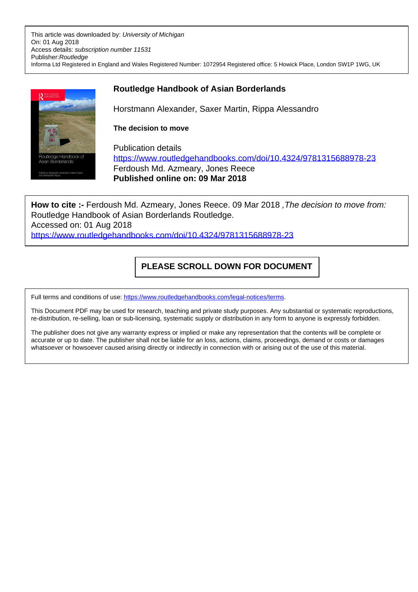This article was downloaded by: University of Michigan On: 01 Aug 2018 Access details: subscription number 11531 Publisher:Routledge Informa Ltd Registered in England and Wales Registered Number: 1072954 Registered office: 5 Howick Place, London SW1P 1WG, UK



### **Routledge Handbook of Asian Borderlands**

Horstmann Alexander, Saxer Martin, Rippa Alessandro

**The decision to move**

Publication details https://www.routledgehandbooks.com/doi/10.4324/9781315688978-23 Ferdoush Md. Azmeary, Jones Reece **Published online on: 09 Mar 2018**

**How to cite :-** Ferdoush Md. Azmeary, Jones Reece. 09 Mar 2018 ,The decision to move from: Routledge Handbook of Asian Borderlands Routledge. Accessed on: 01 Aug 2018 https://www.routledgehandbooks.com/doi/10.4324/9781315688978-23

## **PLEASE SCROLL DOWN FOR DOCUMENT**

Full terms and conditions of use: https://www.routledgehandbooks.com/legal-notices/terms.

This Document PDF may be used for research, teaching and private study purposes. Any substantial or systematic reproductions, re-distribution, re-selling, loan or sub-licensing, systematic supply or distribution in any form to anyone is expressly forbidden.

The publisher does not give any warranty express or implied or make any representation that the contents will be complete or accurate or up to date. The publisher shall not be liable for an loss, actions, claims, proceedings, demand or costs or damages whatsoever or howsoever caused arising directly or indirectly in connection with or arising out of the use of this material.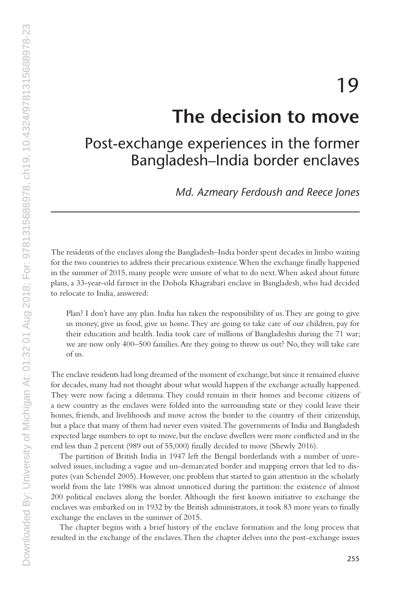# **The decision to move**

## Post-exchange experiences in the former Bangladesh–India border enclaves

*Md. Azmeary Ferdoush and Reece Jones*

The residents of the enclaves along the Bangladesh–India border spent decades in limbo waiting for the two countries to address their precarious existence. When the exchange finally happened in the summer of 2015, many people were unsure of what to do next. When asked about future plans, a 33-year-old farmer in the Dohola Khagrabari enclave in Bangladesh, who had decided to relocate to India, answered:

Plan? I don't have any plan. India has taken the responsibility of us. They are going to give us money, give us food, give us home. They are going to take care of our children, pay for their education and health. India took care of millions of Bangladeshis during the 71 war; we are now only 400–500 families. Are they going to throw us out? No, they will take care of us.

The enclave residents had long dreamed of the moment of exchange, but since it remained elusive for decades, many had not thought about what would happen if the exchange actually happened. They were now facing a dilemma. They could remain in their homes and become citizens of a new country as the enclaves were folded into the surrounding state or they could leave their homes, friends, and livelihoods and move across the border to the country of their citizenship, but a place that many of them had never even visited. The governments of India and Bangladesh expected large numbers to opt to move, but the enclave dwellers were more conflicted and in the end less than 2 percent (989 out of 55,000) finally decided to move (Shewly 2016).

The partition of British India in 1947 left the Bengal borderlands with a number of unresolved issues, including a vague and un-demarcated border and mapping errors that led to disputes (van Schendel 2005). However, one problem that started to gain attention in the scholarly world from the late 1980s was almost unnoticed during the partition: the existence of almost 200 political enclaves along the border. Although the first known initiative to exchange the enclaves was embarked on in 1932 by the British administrators, it took 83 more years to finally exchange the enclaves in the summer of 2015.

The chapter begins with a brief history of the enclave formation and the long process that resulted in the exchange of the enclaves. Then the chapter delves into the post-exchange issues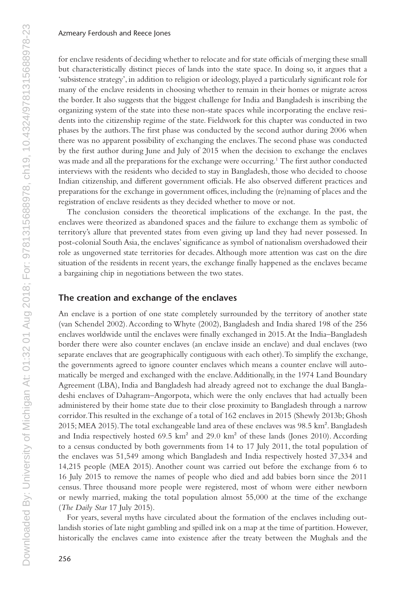for enclave residents of deciding whether to relocate and for state officials of merging these small but characteristically distinct pieces of lands into the state space. In doing so, it argues that a 'subsistence strategy', in addition to religion or ideology, played a particularly significant role for many of the enclave residents in choosing whether to remain in their homes or migrate across the border. It also suggests that the biggest challenge for India and Bangladesh is inscribing the organizing system of the state into these non-state spaces while incorporating the enclave residents into the citizenship regime of the state. Fieldwork for this chapter was conducted in two phases by the authors. The first phase was conducted by the second author during 2006 when there was no apparent possibility of exchanging the enclaves. The second phase was conducted by the first author during June and July of 2015 when the decision to exchange the enclaves was made and all the preparations for the exchange were occurring.1 The first author conducted interviews with the residents who decided to stay in Bangladesh, those who decided to choose Indian citizenship, and different government officials. He also observed different practices and preparations for the exchange in government offices, including the (re)naming of places and the registration of enclave residents as they decided whether to move or not.

The conclusion considers the theoretical implications of the exchange. In the past, the enclaves were theorized as abandoned spaces and the failure to exchange them as symbolic of territory's allure that prevented states from even giving up land they had never possessed. In post-colonial South Asia, the enclaves' significance as symbol of nationalism overshadowed their role as ungoverned state territories for decades. Although more attention was cast on the dire situation of the residents in recent years, the exchange finally happened as the enclaves became a bargaining chip in negotiations between the two states.

#### **The creation and exchange of the enclaves**

An enclave is a portion of one state completely surrounded by the territory of another state (van Schendel 2002). According to Whyte (2002), Bangladesh and India shared 198 of the 256 enclaves worldwide until the enclaves were finally exchanged in 2015. At the India–Bangladesh border there were also counter enclaves (an enclave inside an enclave) and dual enclaves (two separate enclaves that are geographically contiguous with each other). To simplify the exchange, the governments agreed to ignore counter enclaves which means a counter enclave will automatically be merged and exchanged with the enclave. Additionally, in the 1974 Land Boundary Agreement (LBA), India and Bangladesh had already agreed not to exchange the dual Bangladeshi enclaves of Dahagram–Angorpota, which were the only enclaves that had actually been administered by their home state due to their close proximity to Bangladesh through a narrow corridor. This resulted in the exchange of a total of 162 enclaves in 2015 (Shewly 2013b; Ghosh 2015; MEA 2015). The total exchangeable land area of these enclaves was 98.5 km². Bangladesh and India respectively hosted 69.5  $km^2$  and 29.0  $km^2$  of these lands (Jones 2010). According to a census conducted by both governments from 14 to 17 July 2011, the total population of the enclaves was 51,549 among which Bangladesh and India respectively hosted 37,334 and 14,215 people (MEA 2015). Another count was carried out before the exchange from 6 to 16 July 2015 to remove the names of people who died and add babies born since the 2011 census. Three thousand more people were registered, most of whom were either newborn or newly married, making the total population almost 55,000 at the time of the exchange (*The Daily Star* 17 July 2015).

For years, several myths have circulated about the formation of the enclaves including outlandish stories of late night gambling and spilled ink on a map at the time of partition. However, historically the enclaves came into existence after the treaty between the Mughals and the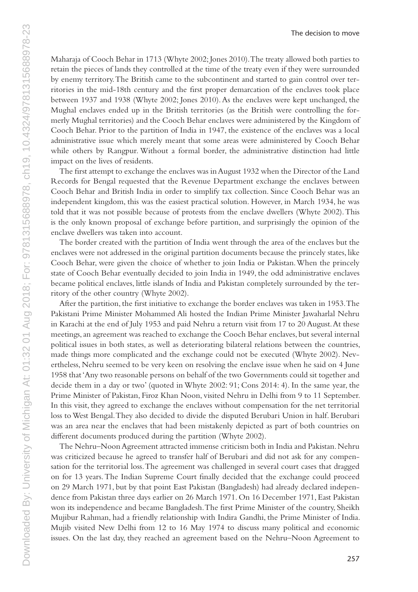Maharaja of Cooch Behar in 1713 (Whyte 2002; Jones 2010). The treaty allowed both parties to retain the pieces of lands they controlled at the time of the treaty even if they were surrounded by enemy territory. The British came to the subcontinent and started to gain control over territories in the mid-18th century and the first proper demarcation of the enclaves took place between 1937 and 1938 (Whyte 2002; Jones 2010). As the enclaves were kept unchanged, the Mughal enclaves ended up in the British territories (as the British were controlling the formerly Mughal territories) and the Cooch Behar enclaves were administered by the Kingdom of Cooch Behar. Prior to the partition of India in 1947, the existence of the enclaves was a local administrative issue which merely meant that some areas were administered by Cooch Behar while others by Rangpur. Without a formal border, the administrative distinction had little impact on the lives of residents.

The first attempt to exchange the enclaves was in August 1932 when the Director of the Land Records for Bengal requested that the Revenue Department exchange the enclaves between Cooch Behar and British India in order to simplify tax collection. Since Cooch Behar was an independent kingdom, this was the easiest practical solution. However, in March 1934, he was told that it was not possible because of protests from the enclave dwellers (Whyte 2002). This is the only known proposal of exchange before partition, and surprisingly the opinion of the enclave dwellers was taken into account.

The border created with the partition of India went through the area of the enclaves but the enclaves were not addressed in the original partition documents because the princely states, like Cooch Behar, were given the choice of whether to join India or Pakistan. When the princely state of Cooch Behar eventually decided to join India in 1949, the odd administrative enclaves became political enclaves, little islands of India and Pakistan completely surrounded by the territory of the other country (Whyte 2002).

After the partition, the first initiative to exchange the border enclaves was taken in 1953. The Pakistani Prime Minister Mohammed Ali hosted the Indian Prime Minister Jawaharlal Nehru in Karachi at the end of July 1953 and paid Nehru a return visit from 17 to 20 August. At these meetings, an agreement was reached to exchange the Cooch Behar enclaves, but several internal political issues in both states, as well as deteriorating bilateral relations between the countries, made things more complicated and the exchange could not be executed (Whyte 2002). Nevertheless, Nehru seemed to be very keen on resolving the enclave issue when he said on 4 June 1958 that 'Any two reasonable persons on behalf of the two Governments could sit together and decide them in a day or two' (quoted in Whyte 2002: 91; Cons 2014: 4). In the same year, the Prime Minister of Pakistan, Firoz Khan Noon, visited Nehru in Delhi from 9 to 11 September. In this visit, they agreed to exchange the enclaves without compensation for the net territorial loss to West Bengal. They also decided to divide the disputed Berubari Union in half. Berubari was an area near the enclaves that had been mistakenly depicted as part of both countries on different documents produced during the partition (Whyte 2002).

The Nehru–Noon Agreement attracted immense criticism both in India and Pakistan. Nehru was criticized because he agreed to transfer half of Berubari and did not ask for any compensation for the territorial loss. The agreement was challenged in several court cases that dragged on for 13 years. The Indian Supreme Court finally decided that the exchange could proceed on 29 March 1971, but by that point East Pakistan (Bangladesh) had already declared independence from Pakistan three days earlier on 26 March 1971. On 16 December 1971, East Pakistan won its independence and became Bangladesh. The first Prime Minister of the country, Sheikh Mujibur Rahman, had a friendly relationship with Indira Gandhi, the Prime Minister of India. Mujib visited New Delhi from 12 to 16 May 1974 to discuss many political and economic issues. On the last day, they reached an agreement based on the Nehru–Noon Agreement to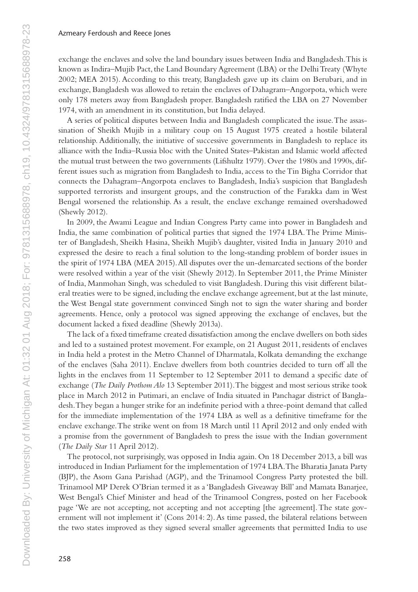exchange the enclaves and solve the land boundary issues between India and Bangladesh. This is known as Indira–Mujib Pact, the Land Boundary Agreement (LBA) or the Delhi Treaty (Whyte 2002; MEA 2015). According to this treaty, Bangladesh gave up its claim on Berubari, and in exchange, Bangladesh was allowed to retain the enclaves of Dahagram–Angorpota, which were only 178 meters away from Bangladesh proper. Bangladesh ratified the LBA on 27 November 1974, with an amendment in its constitution, but India delayed.

A series of political disputes between India and Bangladesh complicated the issue. The assassination of Sheikh Mujib in a military coup on 15 August 1975 created a hostile bilateral relationship. Additionally, the initiative of successive governments in Bangladesh to replace its alliance with the India–Russia bloc with the United States–Pakistan and Islamic world affected the mutual trust between the two governments (Lifshultz 1979). Over the 1980s and 1990s, different issues such as migration from Bangladesh to India, access to the Tin Bigha Corridor that connects the Dahagram–Angorpota enclaves to Bangladesh, India's suspicion that Bangladesh supported terrorists and insurgent groups, and the construction of the Farakka dam in West Bengal worsened the relationship. As a result, the enclave exchange remained overshadowed (Shewly 2012).

In 2009, the Awami League and Indian Congress Party came into power in Bangladesh and India, the same combination of political parties that signed the 1974 LBA. The Prime Minister of Bangladesh, Sheikh Hasina, Sheikh Mujib's daughter, visited India in January 2010 and expressed the desire to reach a final solution to the long-standing problem of border issues in the spirit of 1974 LBA (MEA 2015). All disputes over the un-demarcated sections of the border were resolved within a year of the visit (Shewly 2012). In September 2011, the Prime Minister of India, Manmohan Singh, was scheduled to visit Bangladesh. During this visit different bilateral treaties were to be signed, including the enclave exchange agreement, but at the last minute, the West Bengal state government convinced Singh not to sign the water sharing and border agreements. Hence, only a protocol was signed approving the exchange of enclaves, but the document lacked a fixed deadline (Shewly 2013a).

The lack of a fixed timeframe created dissatisfaction among the enclave dwellers on both sides and led to a sustained protest movement. For example, on 21 August 2011, residents of enclaves in India held a protest in the Metro Channel of Dharmatala, Kolkata demanding the exchange of the enclaves (Saha 2011). Enclave dwellers from both countries decided to turn off all the lights in the enclaves from 11 September to 12 September 2011 to demand a specific date of exchange (*The Daily Prothom Alo* 13 September 2011). The biggest and most serious strike took place in March 2012 in Putimari, an enclave of India situated in Panchagar district of Bangladesh. They began a hunger strike for an indefinite period with a three-point demand that called for the immediate implementation of the 1974 LBA as well as a definitive timeframe for the enclave exchange. The strike went on from 18 March until 11 April 2012 and only ended with a promise from the government of Bangladesh to press the issue with the Indian government (*The Daily Star* 11 April 2012).

The protocol, not surprisingly, was opposed in India again. On 18 December 2013, a bill was introduced in Indian Parliament for the implementation of 1974 LBA. The Bharatia Janata Party (BJP), the Asom Gana Parishad (AGP), and the Trinamool Congress Party protested the bill. Trinamool MP Derek O'Brian termed it as a 'Bangladesh Giveaway Bill' and Mamata Banarjee, West Bengal's Chief Minister and head of the Trinamool Congress, posted on her Facebook page 'We are not accepting, not accepting and not accepting [the agreement]. The state government will not implement it' (Cons 2014: 2). As time passed, the bilateral relations between the two states improved as they signed several smaller agreements that permitted India to use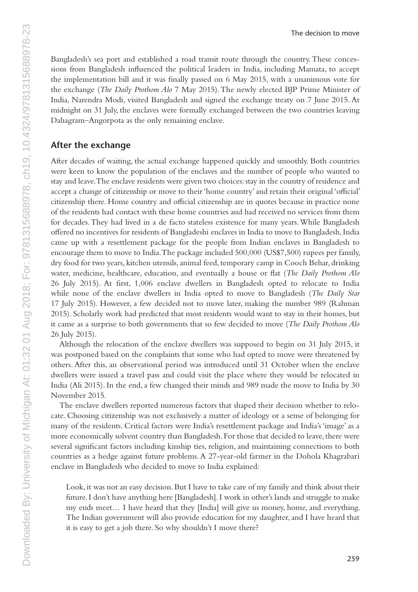Bangladesh's sea port and established a road transit route through the country. These concessions from Bangladesh influenced the political leaders in India, including Mamata, to accept the implementation bill and it was finally passed on 6 May 2015, with a unanimous vote for the exchange (*The Daily Prothom Alo* 7 May 2015). The newly elected BJP Prime Minister of India, Narendra Modi, visited Bangladesh and signed the exchange treaty on 7 June 2015. At midnight on 31 July, the enclaves were formally exchanged between the two countries leaving Dahagram–Angorpota as the only remaining enclave.

#### **After the exchange**

After decades of waiting, the actual exchange happened quickly and smoothly. Both countries were keen to know the population of the enclaves and the number of people who wanted to stay and leave. The enclave residents were given two choices: stay in the country of residence and accept a change of citizenship or move to their 'home country' and retain their original 'official' citizenship there. Home country and official citizenship are in quotes because in practice none of the residents had contact with these home countries and had received no services from them for decades. They had lived in a de facto stateless existence for many years. While Bangladesh offered no incentives for residents of Bangladeshi enclaves in India to move to Bangladesh, India came up with a resettlement package for the people from Indian enclaves in Bangladesh to encourage them to move to India. The package included 500,000 (US\$7,500) rupees per family, dry food for two years, kitchen utensils, animal feed, temporary camp in Cooch Behar, drinking water, medicine, healthcare, education, and eventually a house or flat (*The Daily Prothom Alo* 26 July 2015). At first, 1,006 enclave dwellers in Bangladesh opted to relocate to India while none of the enclave dwellers in India opted to move to Bangladesh (*The Daily Star* 17 July 2015). However, a few decided not to move later, making the number 989 (Rahman 2015). Scholarly work had predicted that most residents would want to stay in their homes, but it came as a surprise to both governments that so few decided to move (*The Daily Prothom Alo* 26 July 2015).

Although the relocation of the enclave dwellers was supposed to begin on 31 July 2015, it was postponed based on the complaints that some who had opted to move were threatened by others. After this, an observational period was introduced until 31 October when the enclave dwellers were issued a travel pass and could visit the place where they would be relocated in India (Ali 2015). In the end, a few changed their minds and 989 made the move to India by 30 November 2015.

The enclave dwellers reported numerous factors that shaped their decision whether to relocate. Choosing citizenship was not exclusively a matter of ideology or a sense of belonging for many of the residents. Critical factors were India's resettlement package and India's 'image' as a more economically solvent country than Bangladesh. For those that decided to leave, there were several significant factors including kinship ties, religion, and maintaining connections to both countries as a hedge against future problems. A 27-year-old farmer in the Dohola Khagrabari enclave in Bangladesh who decided to move to India explained:

Look, it was not an easy decision. But I have to take care of my family and think about their future. I don't have anything here [Bangladesh]. I work in other's lands and struggle to make my ends meet… I have heard that they [India] will give us money, home, and everything. The Indian government will also provide education for my daughter, and I have heard that it is easy to get a job there. So why shouldn't I move there?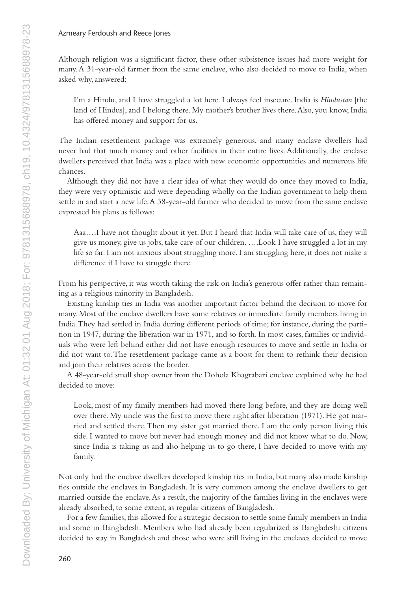#### Azmeary Ferdoush and Reece Jones

Although religion was a significant factor, these other subsistence issues had more weight for many. A 31-year-old farmer from the same enclave, who also decided to move to India, when asked why, answered:

I'm a Hindu, and I have struggled a lot here. I always feel insecure. India is *Hindustan* [the land of Hindus], and I belong there. My mother's brother lives there. Also, you know, India has offered money and support for us.

The Indian resettlement package was extremely generous, and many enclave dwellers had never had that much money and other facilities in their entire lives. Additionally, the enclave dwellers perceived that India was a place with new economic opportunities and numerous life chances.

Although they did not have a clear idea of what they would do once they moved to India, they were very optimistic and were depending wholly on the Indian government to help them settle in and start a new life. A 38-year-old farmer who decided to move from the same enclave expressed his plans as follows:

Aaa….I have not thought about it yet. But I heard that India will take care of us, they will give us money, give us jobs, take care of our children. ….Look I have struggled a lot in my life so far. I am not anxious about struggling more. I am struggling here, it does not make a difference if I have to struggle there.

From his perspective, it was worth taking the risk on India's generous offer rather than remaining as a religious minority in Bangladesh.

Existing kinship ties in India was another important factor behind the decision to move for many. Most of the enclave dwellers have some relatives or immediate family members living in India. They had settled in India during different periods of time; for instance, during the partition in 1947, during the liberation war in 1971, and so forth. In most cases, families or individuals who were left behind either did not have enough resources to move and settle in India or did not want to. The resettlement package came as a boost for them to rethink their decision and join their relatives across the border.

A 48-year-old small shop owner from the Dohola Khagrabari enclave explained why he had decided to move:

Look, most of my family members had moved there long before, and they are doing well over there. My uncle was the first to move there right after liberation (1971). He got married and settled there. Then my sister got married there. I am the only person living this side. I wanted to move but never had enough money and did not know what to do. Now, since India is taking us and also helping us to go there, I have decided to move with my family.

Not only had the enclave dwellers developed kinship ties in India, but many also made kinship ties outside the enclaves in Bangladesh. It is very common among the enclave dwellers to get married outside the enclave. As a result, the majority of the families living in the enclaves were already absorbed, to some extent, as regular citizens of Bangladesh.

For a few families, this allowed for a strategic decision to settle some family members in India and some in Bangladesh. Members who had already been regularized as Bangladeshi citizens decided to stay in Bangladesh and those who were still living in the enclaves decided to move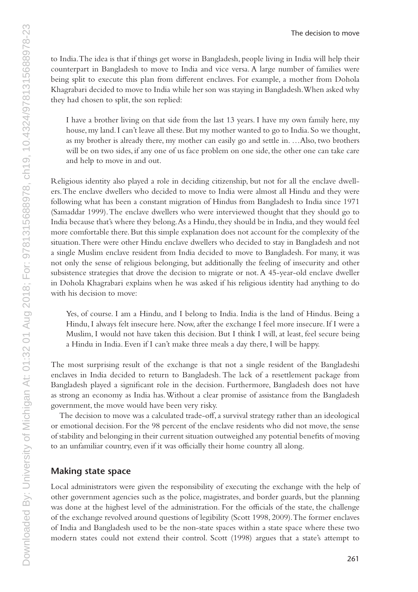to India. The idea is that if things get worse in Bangladesh, people living in India will help their counterpart in Bangladesh to move to India and vice versa. A large number of families were being split to execute this plan from different enclaves. For example, a mother from Dohola Khagrabari decided to move to India while her son was staying in Bangladesh. When asked why they had chosen to split, the son replied:

I have a brother living on that side from the last 13 years. I have my own family here, my house, my land. I can't leave all these. But my mother wanted to go to India. So we thought, as my brother is already there, my mother can easily go and settle in. …Also, two brothers will be on two sides, if any one of us face problem on one side, the other one can take care and help to move in and out.

Religious identity also played a role in deciding citizenship, but not for all the enclave dwellers. The enclave dwellers who decided to move to India were almost all Hindu and they were following what has been a constant migration of Hindus from Bangladesh to India since 1971 (Samaddar 1999). The enclave dwellers who were interviewed thought that they should go to India because that's where they belong. As a Hindu, they should be in India, and they would feel more comfortable there. But this simple explanation does not account for the complexity of the situation. There were other Hindu enclave dwellers who decided to stay in Bangladesh and not a single Muslim enclave resident from India decided to move to Bangladesh. For many, it was not only the sense of religious belonging, but additionally the feeling of insecurity and other subsistence strategies that drove the decision to migrate or not. A 45-year-old enclave dweller in Dohola Khagrabari explains when he was asked if his religious identity had anything to do with his decision to move:

Yes, of course. I am a Hindu, and I belong to India. India is the land of Hindus. Being a Hindu, I always felt insecure here. Now, after the exchange I feel more insecure. If I were a Muslim, I would not have taken this decision. But I think I will, at least, feel secure being a Hindu in India. Even if I can't make three meals a day there, I will be happy.

The most surprising result of the exchange is that not a single resident of the Bangladeshi enclaves in India decided to return to Bangladesh. The lack of a resettlement package from Bangladesh played a significant role in the decision. Furthermore, Bangladesh does not have as strong an economy as India has. Without a clear promise of assistance from the Bangladesh government, the move would have been very risky.

The decision to move was a calculated trade-off, a survival strategy rather than an ideological or emotional decision. For the 98 percent of the enclave residents who did not move, the sense of stability and belonging in their current situation outweighed any potential benefits of moving to an unfamiliar country, even if it was officially their home country all along.

#### **Making state space**

Local administrators were given the responsibility of executing the exchange with the help of other government agencies such as the police, magistrates, and border guards, but the planning was done at the highest level of the administration. For the officials of the state, the challenge of the exchange revolved around questions of legibility (Scott 1998, 2009). The former enclaves of India and Bangladesh used to be the non-state spaces within a state space where these two modern states could not extend their control. Scott (1998) argues that a state's attempt to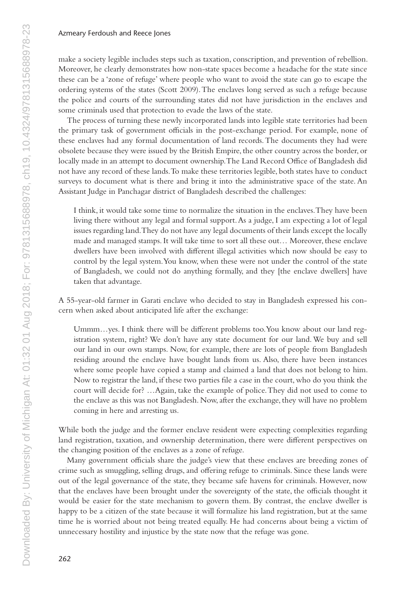#### Azmeary Ferdoush and Reece Jones

make a society legible includes steps such as taxation, conscription, and prevention of rebellion. Moreover, he clearly demonstrates how non-state spaces become a headache for the state since these can be a 'zone of refuge' where people who want to avoid the state can go to escape the ordering systems of the states (Scott 2009). The enclaves long served as such a refuge because the police and courts of the surrounding states did not have jurisdiction in the enclaves and some criminals used that protection to evade the laws of the state.

The process of turning these newly incorporated lands into legible state territories had been the primary task of government officials in the post-exchange period. For example, none of these enclaves had any formal documentation of land records. The documents they had were obsolete because they were issued by the British Empire, the other country across the border, or locally made in an attempt to document ownership. The Land Record Office of Bangladesh did not have any record of these lands. To make these territories legible, both states have to conduct surveys to document what is there and bring it into the administrative space of the state. An Assistant Judge in Panchagar district of Bangladesh described the challenges:

I think, it would take some time to normalize the situation in the enclaves. They have been living there without any legal and formal support. As a judge, I am expecting a lot of legal issues regarding land. They do not have any legal documents of their lands except the locally made and managed stamps. It will take time to sort all these out… Moreover, these enclave dwellers have been involved with different illegal activities which now should be easy to control by the legal system. You know, when these were not under the control of the state of Bangladesh, we could not do anything formally, and they [the enclave dwellers] have taken that advantage.

A 55-year-old farmer in Garati enclave who decided to stay in Bangladesh expressed his concern when asked about anticipated life after the exchange:

Ummm…yes. I think there will be different problems too. You know about our land registration system, right? We don't have any state document for our land. We buy and sell our land in our own stamps. Now, for example, there are lots of people from Bangladesh residing around the enclave have bought lands from us. Also, there have been instances where some people have copied a stamp and claimed a land that does not belong to him. Now to registrar the land, if these two parties file a case in the court, who do you think the court will decide for? …Again, take the example of police. They did not used to come to the enclave as this was not Bangladesh. Now, after the exchange, they will have no problem coming in here and arresting us.

While both the judge and the former enclave resident were expecting complexities regarding land registration, taxation, and ownership determination, there were different perspectives on the changing position of the enclaves as a zone of refuge.

Many government officials share the judge's view that these enclaves are breeding zones of crime such as smuggling, selling drugs, and offering refuge to criminals. Since these lands were out of the legal governance of the state, they became safe havens for criminals. However, now that the enclaves have been brought under the sovereignty of the state, the officials thought it would be easier for the state mechanism to govern them. By contrast, the enclave dweller is happy to be a citizen of the state because it will formalize his land registration, but at the same time he is worried about not being treated equally. He had concerns about being a victim of unnecessary hostility and injustice by the state now that the refuge was gone.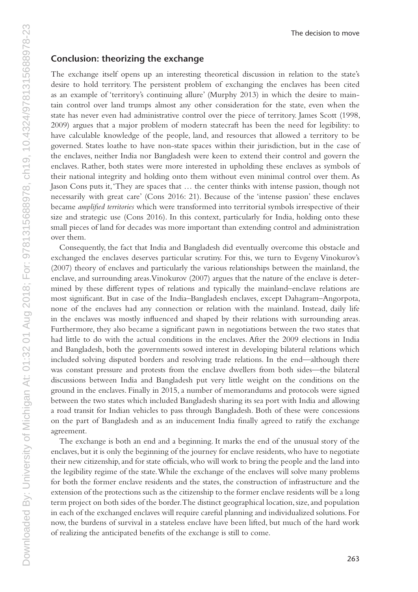#### **Conclusion: theorizing the exchange**

The exchange itself opens up an interesting theoretical discussion in relation to the state's desire to hold territory. The persistent problem of exchanging the enclaves has been cited as an example of 'territory's continuing allure' (Murphy 2013) in which the desire to maintain control over land trumps almost any other consideration for the state, even when the state has never even had administrative control over the piece of territory. James Scott (1998, 2009) argues that a major problem of modern statecraft has been the need for legibility: to have calculable knowledge of the people, land, and resources that allowed a territory to be governed. States loathe to have non-state spaces within their jurisdiction, but in the case of the enclaves, neither India nor Bangladesh were keen to extend their control and govern the enclaves. Rather, both states were more interested in upholding these enclaves as symbols of their national integrity and holding onto them without even minimal control over them. As Jason Cons puts it, 'They are spaces that … the center thinks with intense passion, though not necessarily with great care' (Cons 2016: 21). Because of the 'intense passion' these enclaves became *amplified territories* which were transformed into territorial symbols irrespective of their size and strategic use (Cons 2016). In this context, particularly for India, holding onto these small pieces of land for decades was more important than extending control and administration over them.

Consequently, the fact that India and Bangladesh did eventually overcome this obstacle and exchanged the enclaves deserves particular scrutiny. For this, we turn to Evgeny Vinokurov's (2007) theory of enclaves and particularly the various relationships between the mainland, the enclave, and surrounding areas. Vinokurov (2007) argues that the nature of the enclave is determined by these different types of relations and typically the mainland–enclave relations are most significant. But in case of the India–Bangladesh enclaves, except Dahagram–Angorpota, none of the enclaves had any connection or relation with the mainland. Instead, daily life in the enclaves was mostly influenced and shaped by their relations with surrounding areas. Furthermore, they also became a significant pawn in negotiations between the two states that had little to do with the actual conditions in the enclaves. After the 2009 elections in India and Bangladesh, both the governments sowed interest in developing bilateral relations which included solving disputed borders and resolving trade relations. In the end—although there was constant pressure and protests from the enclave dwellers from both sides—the bilateral discussions between India and Bangladesh put very little weight on the conditions on the ground in the enclaves. Finally in 2015, a number of memorandums and protocols were signed between the two states which included Bangladesh sharing its sea port with India and allowing a road transit for Indian vehicles to pass through Bangladesh. Both of these were concessions on the part of Bangladesh and as an inducement India finally agreed to ratify the exchange agreement.

The exchange is both an end and a beginning. It marks the end of the unusual story of the enclaves, but it is only the beginning of the journey for enclave residents, who have to negotiate their new citizenship, and for state officials, who will work to bring the people and the land into the legibility regime of the state. While the exchange of the enclaves will solve many problems for both the former enclave residents and the states, the construction of infrastructure and the extension of the protections such as the citizenship to the former enclave residents will be a long term project on both sides of the border. The distinct geographical location, size, and population in each of the exchanged enclaves will require careful planning and individualized solutions. For now, the burdens of survival in a stateless enclave have been lifted, but much of the hard work of realizing the anticipated benefits of the exchange is still to come.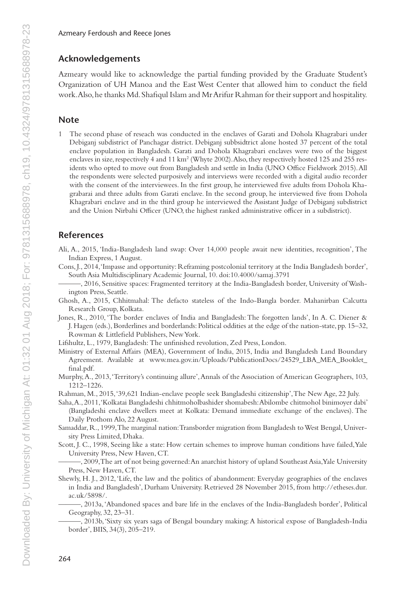#### **Acknowledgements**

Azmeary would like to acknowledge the partial funding provided by the Graduate Student's Organization of UH Manoa and the East West Center that allowed him to conduct the field work. Also, he thanks Md. Shafiqul Islam and Mr Arifur Rahman for their support and hospitality.

#### **Note**

1 The second phase of reseach was conducted in the enclaves of Garati and Dohola Khagrabari under Debiganj subdistrict of Panchagar district. Debiganj subbsidtrict alone hosted 37 percent of the total enclave population in Bangladesh. Garati and Dohola Khagrabari enclaves were two of the biggest enclaves in size, respectively 4 and 11 km<sup>2</sup> (Whyte 2002). Also, they respectively hosted 125 and 255 residents who opted to move out from Bangladesh and settle in India (UNO Office Fieldwork 2015). All the respondents were selected purposively and interviews were recorded with a digital audio recorder with the consent of the interviewees. In the first group, he interviewed five adults from Dohola Khagrabarai and three adults from Garati enclave. In the second group, he interviewed five from Dohola Khagrabari enclave and in the third group he interviewed the Assistant Judge of Debiganj subdistrict and the Union Nirbahi Officer (UNO, the highest ranked administrative officer in a subdistrict).

#### **References**

- Ali, A., 2015, 'India-Bangladesh land swap: Over 14,000 people await new identities, recognition', The Indian Express, 1 August.
- Cons, J., 2014, 'Impasse and opportunity: Reframing postcolonial territory at the India Bangladesh border', South Asia Multidisciplinary Academic Journal, 10. doi:10.4000/samaj.3791
	- ———, 2016, Sensitive spaces: Fragmented territory at the India-Bangladesh border, University of Washington Press, Seattle.
- Ghosh, A., 2015, Chhitmahal: The defacto stateless of the Indo-Bangla border. Mahanirban Calcutta Research Group, Kolkata.
- Jones, R., 2010, 'The border enclaves of India and Bangladesh: The forgotten lands', In A. C. Diener & J. Hagen (eds.), Borderlines and borderlands: Political oddities at the edge of the nation-state, pp. 15–32, Rowman & Littlefield Publishers, New York.

Lifshultz, L., 1979, Bangladesh: The unfinished revolution, Zed Press, London.

- Ministry of External Affairs (MEA), Government of India, 2015, India and Bangladesh Land Boundary Agreement. Available at www.mea.gov.in/Uploads/PublicationDocs/24529\_LBA\_MEA\_Booklet\_ final.pdf.
- Murphy, A., 2013, 'Territory's continuing allure', Annals of the Association of American Geographers, 103, 1212–1226.

Rahman, M., 2015, '39,621 Indian-enclave people seek Bangladeshi citizenship', The New Age, 22 July.

- Saha, A., 2011, 'Kolkatai Bangladeshi chhitmoholbashider shomabesh: Abilombe chitmohol binimoyer dabi' (Bangladeshi enclave dwellers meet at Kolkata: Demand immediate exchange of the enclaves). The Daily Prothom Alo, 22 August.
- Samaddar, R., 1999, The marginal nation: Transborder migration from Bangladesh to West Bengal, University Press Limited, Dhaka.
- Scott, J. C., 1998, Seeing like a state: How certain schemes to improve human conditions have failed, Yale University Press, New Haven, CT.
	- ———, 2009, The art of not being governed: An anarchist history of upland Southeast Asia, Yale University Press, New Haven, CT.
- Shewly, H. J., 2012, 'Life, the law and the politics of abandonment: Everyday geographies of the enclaves in India and Bangladesh', Durham University. Retrieved 28 November 2015, from http://etheses.dur. ac.uk/5898/.
	- ———, 2013a, 'Abandoned spaces and bare life in the enclaves of the India-Bangladesh border', Political Geography, 32, 23–31.
	- ———, 2013b, 'Sixty six years saga of Bengal boundary making: A historical expose of Bangladesh-India border', BIIS, 34(3), 205–219.